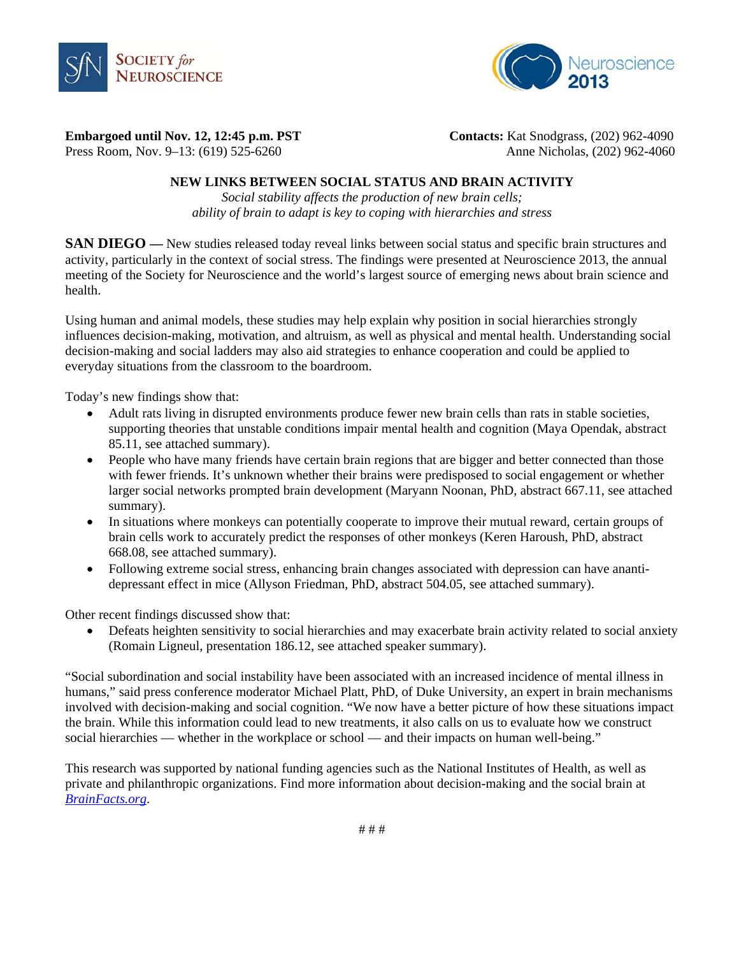



**Embargoed until Nov. 12, 12:45 p.m. PST Contacts:** Kat Snodgrass, (202) 962-4090

Press Room, Nov. 9–13: (619) 525-6260Anne Nicholas, (202) 962-4060

### **NEW LINKS BETWEEN SOCIAL STATUS AND BRAIN ACTIVITY**

*Social stability affects the production of new brain cells; ability of brain to adapt is key to coping with hierarchies and stress* 

**SAN DIEGO** — New studies released today reveal links between social status and specific brain structures and activity, particularly in the context of social stress. The findings were presented at Neuroscience 2013, the annual meeting of the Society for Neuroscience and the world's largest source of emerging news about brain science and health.

Using human and animal models, these studies may help explain why position in social hierarchies strongly influences decision-making, motivation, and altruism, as well as physical and mental health. Understanding social decision-making and social ladders may also aid strategies to enhance cooperation and could be applied to everyday situations from the classroom to the boardroom.

Today's new findings show that:

- Adult rats living in disrupted environments produce fewer new brain cells than rats in stable societies, supporting theories that unstable conditions impair mental health and cognition (Maya Opendak, abstract 85.11, see attached summary).
- People who have many friends have certain brain regions that are bigger and better connected than those with fewer friends. It's unknown whether their brains were predisposed to social engagement or whether larger social networks prompted brain development (Maryann Noonan, PhD, abstract 667.11, see attached summary).
- In situations where monkeys can potentially cooperate to improve their mutual reward, certain groups of brain cells work to accurately predict the responses of other monkeys (Keren Haroush, PhD, abstract 668.08, see attached summary).
- Following extreme social stress, enhancing brain changes associated with depression can have anantidepressant effect in mice (Allyson Friedman, PhD, abstract 504.05, see attached summary).

Other recent findings discussed show that:

 Defeats heighten sensitivity to social hierarchies and may exacerbate brain activity related to social anxiety (Romain Ligneul, presentation 186.12, see attached speaker summary).

"Social subordination and social instability have been associated with an increased incidence of mental illness in humans," said press conference moderator Michael Platt, PhD, of Duke University, an expert in brain mechanisms involved with decision-making and social cognition. "We now have a better picture of how these situations impact the brain. While this information could lead to new treatments, it also calls on us to evaluate how we construct social hierarchies — whether in the workplace or school — and their impacts on human well-being."

This research was supported by national funding agencies such as the National Institutes of Health, as well as private and philanthropic organizations. Find more information about decision-making and the social brain at *BrainFacts.org*.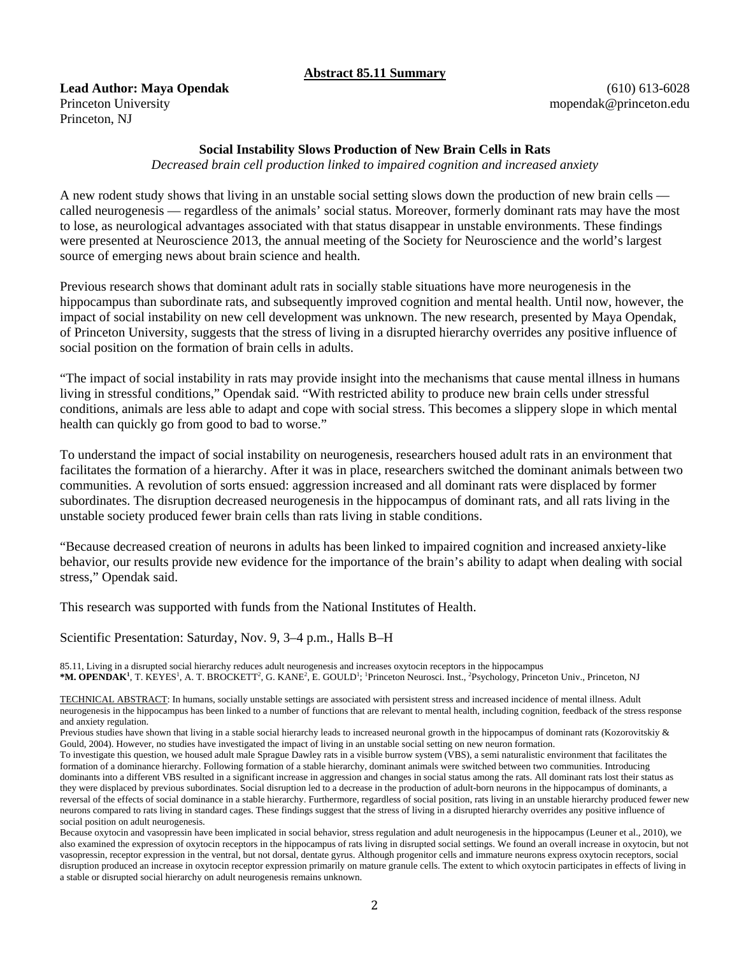## **Abstract 85.11 Summary**

**Lead Author: Maya Opendak**  Princeton University Princeton, NJ

(610) 613-6028 mopendak@princeton.edu

#### **Social Instability Slows Production of New Brain Cells in Rats**

*Decreased brain cell production linked to impaired cognition and increased anxiety* 

A new rodent study shows that living in an unstable social setting slows down the production of new brain cells called neurogenesis — regardless of the animals' social status. Moreover, formerly dominant rats may have the most to lose, as neurological advantages associated with that status disappear in unstable environments. These findings were presented at Neuroscience 2013, the annual meeting of the Society for Neuroscience and the world's largest source of emerging news about brain science and health.

Previous research shows that dominant adult rats in socially stable situations have more neurogenesis in the hippocampus than subordinate rats, and subsequently improved cognition and mental health. Until now, however, the impact of social instability on new cell development was unknown. The new research, presented by Maya Opendak, of Princeton University, suggests that the stress of living in a disrupted hierarchy overrides any positive influence of social position on the formation of brain cells in adults.

"The impact of social instability in rats may provide insight into the mechanisms that cause mental illness in humans living in stressful conditions," Opendak said. "With restricted ability to produce new brain cells under stressful conditions, animals are less able to adapt and cope with social stress. This becomes a slippery slope in which mental health can quickly go from good to bad to worse."

To understand the impact of social instability on neurogenesis, researchers housed adult rats in an environment that facilitates the formation of a hierarchy. After it was in place, researchers switched the dominant animals between two communities. A revolution of sorts ensued: aggression increased and all dominant rats were displaced by former subordinates. The disruption decreased neurogenesis in the hippocampus of dominant rats, and all rats living in the unstable society produced fewer brain cells than rats living in stable conditions.

"Because decreased creation of neurons in adults has been linked to impaired cognition and increased anxiety-like behavior, our results provide new evidence for the importance of the brain's ability to adapt when dealing with social stress," Opendak said.

This research was supported with funds from the National Institutes of Health.

Scientific Presentation: Saturday, Nov. 9, 3–4 p.m., Halls B–H

85.11, Living in a disrupted social hierarchy reduces adult neurogenesis and increases oxytocin receptors in the hippocampus \*M. OPENDAK<sup>1</sup>, T. KEYES<sup>1</sup>, A. T. BROCKETT<sup>2</sup>, G. KANE<sup>2</sup>, E. GOULD<sup>1</sup>; <sup>1</sup>Princeton Neurosci. Inst., <sup>2</sup>Psychology, Princeton Univ., Princeton, NJ

TECHNICAL ABSTRACT: In humans, socially unstable settings are associated with persistent stress and increased incidence of mental illness. Adult neurogenesis in the hippocampus has been linked to a number of functions that are relevant to mental health, including cognition, feedback of the stress response and anxiety regulation.

Previous studies have shown that living in a stable social hierarchy leads to increased neuronal growth in the hippocampus of dominant rats (Kozorovitskiy & Gould, 2004). However, no studies have investigated the impact of living in an unstable social setting on new neuron formation.

To investigate this question, we housed adult male Sprague Dawley rats in a visible burrow system (VBS), a semi naturalistic environment that facilitates the formation of a dominance hierarchy. Following formation of a stable hierarchy, dominant animals were switched between two communities. Introducing dominants into a different VBS resulted in a significant increase in aggression and changes in social status among the rats. All dominant rats lost their status as they were displaced by previous subordinates. Social disruption led to a decrease in the production of adult-born neurons in the hippocampus of dominants, a reversal of the effects of social dominance in a stable hierarchy. Furthermore, regardless of social position, rats living in an unstable hierarchy produced fewer new neurons compared to rats living in standard cages. These findings suggest that the stress of living in a disrupted hierarchy overrides any positive influence of social position on adult neurogenesis.

Because oxytocin and vasopressin have been implicated in social behavior, stress regulation and adult neurogenesis in the hippocampus (Leuner et al., 2010), we also examined the expression of oxytocin receptors in the hippocampus of rats living in disrupted social settings. We found an overall increase in oxytocin, but not vasopressin, receptor expression in the ventral, but not dorsal, dentate gyrus. Although progenitor cells and immature neurons express oxytocin receptors, social disruption produced an increase in oxytocin receptor expression primarily on mature granule cells. The extent to which oxytocin participates in effects of living in a stable or disrupted social hierarchy on adult neurogenesis remains unknown.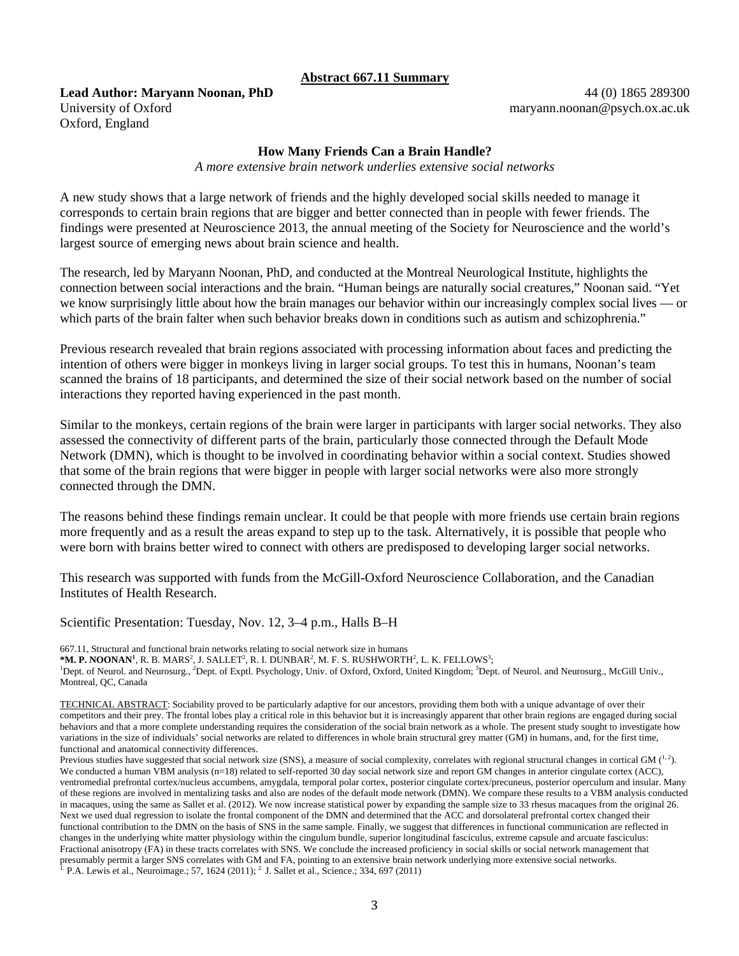#### **Abstract 667.11 Summary**

**Lead Author: Maryann Noonan, PhD**  University of Oxford Oxford, England

44 (0) 1865 289300 maryann.noonan@psych.ox.ac.uk

#### **How Many Friends Can a Brain Handle?**

*A more extensive brain network underlies extensive social networks* 

A new study shows that a large network of friends and the highly developed social skills needed to manage it corresponds to certain brain regions that are bigger and better connected than in people with fewer friends. The findings were presented at Neuroscience 2013, the annual meeting of the Society for Neuroscience and the world's largest source of emerging news about brain science and health.

The research, led by Maryann Noonan, PhD, and conducted at the Montreal Neurological Institute, highlights the connection between social interactions and the brain. "Human beings are naturally social creatures," Noonan said. "Yet we know surprisingly little about how the brain manages our behavior within our increasingly complex social lives — or which parts of the brain falter when such behavior breaks down in conditions such as autism and schizophrenia."

Previous research revealed that brain regions associated with processing information about faces and predicting the intention of others were bigger in monkeys living in larger social groups. To test this in humans, Noonan's team scanned the brains of 18 participants, and determined the size of their social network based on the number of social interactions they reported having experienced in the past month.

Similar to the monkeys, certain regions of the brain were larger in participants with larger social networks. They also assessed the connectivity of different parts of the brain, particularly those connected through the Default Mode Network (DMN), which is thought to be involved in coordinating behavior within a social context. Studies showed that some of the brain regions that were bigger in people with larger social networks were also more strongly connected through the DMN.

The reasons behind these findings remain unclear. It could be that people with more friends use certain brain regions more frequently and as a result the areas expand to step up to the task. Alternatively, it is possible that people who were born with brains better wired to connect with others are predisposed to developing larger social networks.

This research was supported with funds from the McGill-Oxford Neuroscience Collaboration, and the Canadian Institutes of Health Research.

Scientific Presentation: Tuesday, Nov. 12, 3–4 p.m., Halls B–H

667.11, Structural and functional brain networks relating to social network size in humans

**\*M. P. NOONAN<sup>1</sup>**, R. B. MARS<sup>2</sup>, J. SALLET<sup>2</sup>, R. I. DUNBAR<sup>2</sup>, M. F. S. RUSHWORTH<sup>2</sup>, L. K. FELLOWS<sup>3</sup>;<br><sup>1</sup>Dant of Naural and Naurours, <sup>2</sup>Dant of Evatl Baychology, Univ. of Oxford, Oxford United Kingdom<sup>3</sup> Dant

Dept. of Neurol. and Neurosurg., <sup>2</sup>Dept. of Exptl. Psychology, Univ. of Oxford, Oxford, United Kingdom; <sup>3</sup>Dept. of Neurol. and Neurosurg., McGill Univ., Montreal, QC, Canada

TECHNICAL ABSTRACT: Sociability proved to be particularly adaptive for our ancestors, providing them both with a unique advantage of over their competitors and their prey. The frontal lobes play a critical role in this behavior but it is increasingly apparent that other brain regions are engaged during social behaviors and that a more complete understanding requires the consideration of the social brain network as a whole. The present study sought to investigate how variations in the size of individuals' social networks are related to differences in whole brain structural grey matter (GM) in humans, and, for the first time, functional and anatomical connectivity differences.

Previous studies have suggested that social network size (SNS), a measure of social complexity, correlates with regional structural changes in cortical GM  $(^{1.2})$ . We conducted a human VBM analysis (n=18) related to self-reported 30 day social network size and report GM changes in anterior cingulate cortex (ACC), ventromedial prefrontal cortex/nucleus accumbens, amygdala, temporal polar cortex, posterior cingulate cortex/precuneus, posterior operculum and insular. Many of these regions are involved in mentalizing tasks and also are nodes of the default mode network (DMN). We compare these results to a VBM analysis conducted in macaques, using the same as Sallet et al. (2012). We now increase statistical power by expanding the sample size to 33 rhesus macaques from the original 26. Next we used dual regression to isolate the frontal component of the DMN and determined that the ACC and dorsolateral prefrontal cortex changed their functional contribution to the DMN on the basis of SNS in the same sample. Finally, we suggest that differences in functional communication are reflected in changes in the underlying white matter physiology within the cingulum bundle, superior longitudinal fasciculus, extreme capsule and arcuate fasciculus: Fractional anisotropy (FA) in these tracts correlates with SNS. We conclude the increased proficiency in social skills or social network management that presumably permit a larger SNS correlates with GM and FA, pointing to an extensive brain network underlying more extensive social networks.<br><sup>1.</sup> P.A. Lewis et al., Neuroimage.; 57, 1624 (2011); <sup>2.</sup> J. Sallet et al., Scie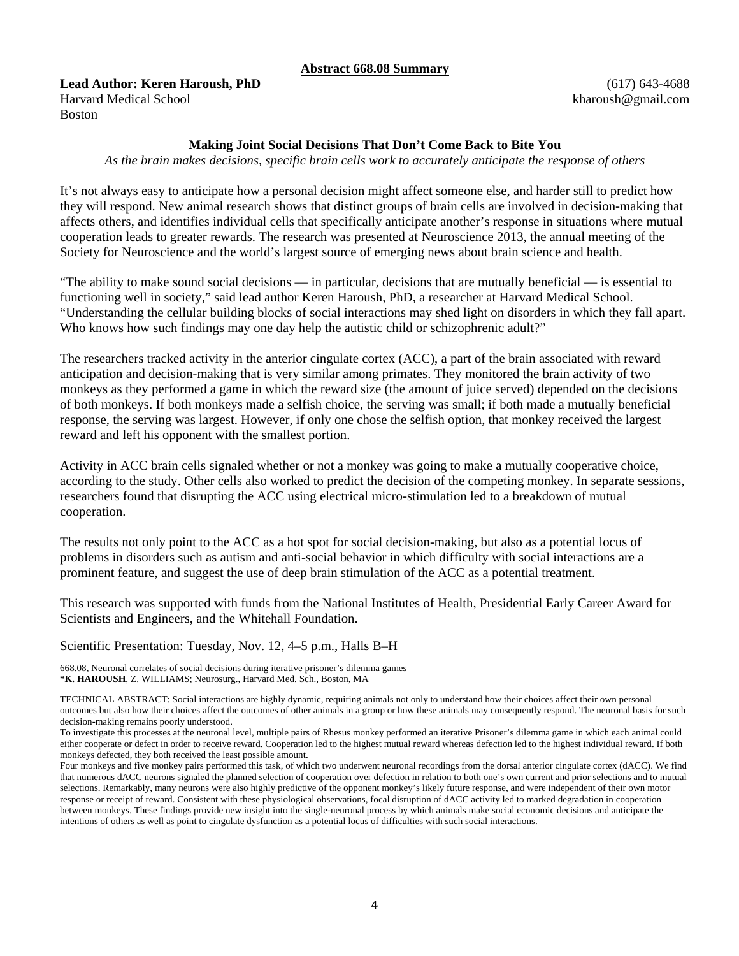#### **Abstract 668.08 Summary**

**Lead Author: Keren Haroush, PhD**  Harvard Medical School Boston

(617) 643-4688 kharoush@gmail.com

#### **Making Joint Social Decisions That Don't Come Back to Bite You**

*As the brain makes decisions, specific brain cells work to accurately anticipate the response of others* 

It's not always easy to anticipate how a personal decision might affect someone else, and harder still to predict how they will respond. New animal research shows that distinct groups of brain cells are involved in decision-making that affects others, and identifies individual cells that specifically anticipate another's response in situations where mutual cooperation leads to greater rewards. The research was presented at Neuroscience 2013, the annual meeting of the Society for Neuroscience and the world's largest source of emerging news about brain science and health.

"The ability to make sound social decisions — in particular, decisions that are mutually beneficial — is essential to functioning well in society," said lead author Keren Haroush, PhD, a researcher at Harvard Medical School. "Understanding the cellular building blocks of social interactions may shed light on disorders in which they fall apart. Who knows how such findings may one day help the autistic child or schizophrenic adult?"

The researchers tracked activity in the anterior cingulate cortex (ACC), a part of the brain associated with reward anticipation and decision-making that is very similar among primates. They monitored the brain activity of two monkeys as they performed a game in which the reward size (the amount of juice served) depended on the decisions of both monkeys. If both monkeys made a selfish choice, the serving was small; if both made a mutually beneficial response, the serving was largest. However, if only one chose the selfish option, that monkey received the largest reward and left his opponent with the smallest portion.

Activity in ACC brain cells signaled whether or not a monkey was going to make a mutually cooperative choice, according to the study. Other cells also worked to predict the decision of the competing monkey. In separate sessions, researchers found that disrupting the ACC using electrical micro-stimulation led to a breakdown of mutual cooperation.

The results not only point to the ACC as a hot spot for social decision-making, but also as a potential locus of problems in disorders such as autism and anti-social behavior in which difficulty with social interactions are a prominent feature, and suggest the use of deep brain stimulation of the ACC as a potential treatment.

This research was supported with funds from the National Institutes of Health, Presidential Early Career Award for Scientists and Engineers, and the Whitehall Foundation.

Scientific Presentation: Tuesday, Nov. 12, 4–5 p.m., Halls B–H

668.08, Neuronal correlates of social decisions during iterative prisoner's dilemma games **\*K. HAROUSH**, Z. WILLIAMS; Neurosurg., Harvard Med. Sch., Boston, MA

TECHNICAL ABSTRACT: Social interactions are highly dynamic, requiring animals not only to understand how their choices affect their own personal outcomes but also how their choices affect the outcomes of other animals in a group or how these animals may consequently respond. The neuronal basis for such decision-making remains poorly understood.

To investigate this processes at the neuronal level, multiple pairs of Rhesus monkey performed an iterative Prisoner's dilemma game in which each animal could either cooperate or defect in order to receive reward. Cooperation led to the highest mutual reward whereas defection led to the highest individual reward. If both monkeys defected, they both received the least possible amount.

Four monkeys and five monkey pairs performed this task, of which two underwent neuronal recordings from the dorsal anterior cingulate cortex (dACC). We find that numerous dACC neurons signaled the planned selection of cooperation over defection in relation to both one's own current and prior selections and to mutual selections. Remarkably, many neurons were also highly predictive of the opponent monkey's likely future response, and were independent of their own motor response or receipt of reward. Consistent with these physiological observations, focal disruption of dACC activity led to marked degradation in cooperation between monkeys. These findings provide new insight into the single-neuronal process by which animals make social economic decisions and anticipate the intentions of others as well as point to cingulate dysfunction as a potential locus of difficulties with such social interactions.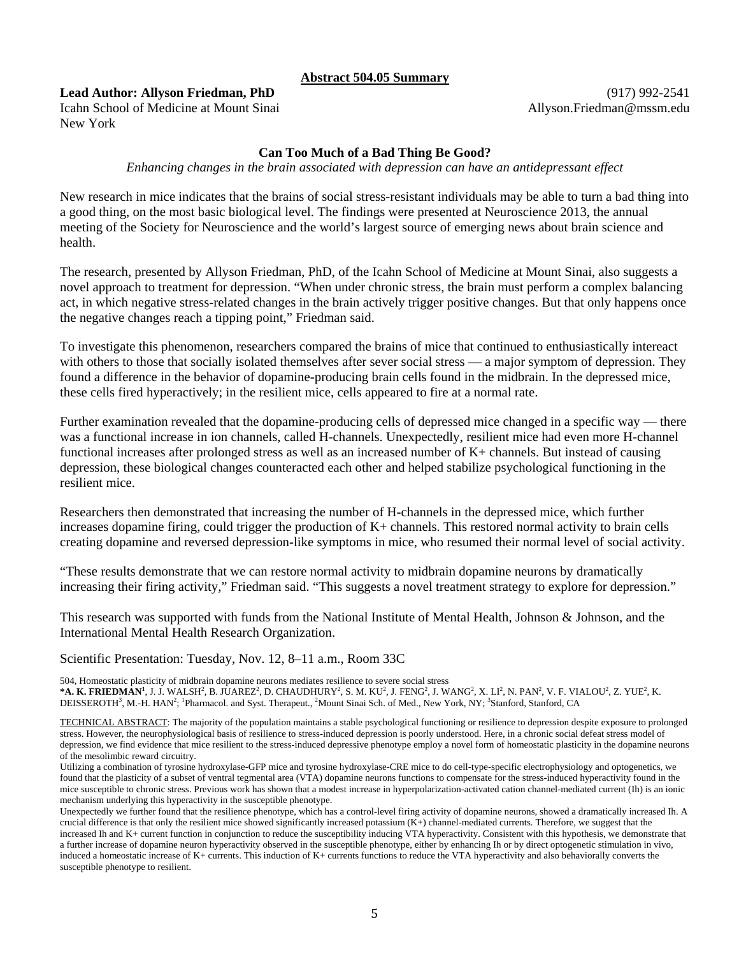#### **Abstract 504.05 Summary**

## **Lead Author: Allyson Friedman, PhD**

Icahn School of Medicine at Mount Sinai New York

## **Can Too Much of a Bad Thing Be Good?**

*Enhancing changes in the brain associated with depression can have an antidepressant effect* 

New research in mice indicates that the brains of social stress-resistant individuals may be able to turn a bad thing into a good thing, on the most basic biological level. The findings were presented at Neuroscience 2013, the annual meeting of the Society for Neuroscience and the world's largest source of emerging news about brain science and health.

The research, presented by Allyson Friedman, PhD, of the Icahn School of Medicine at Mount Sinai, also suggests a novel approach to treatment for depression. "When under chronic stress, the brain must perform a complex balancing act, in which negative stress-related changes in the brain actively trigger positive changes. But that only happens once the negative changes reach a tipping point," Friedman said.

To investigate this phenomenon, researchers compared the brains of mice that continued to enthusiastically intereact with others to those that socially isolated themselves after sever social stress — a major symptom of depression. They found a difference in the behavior of dopamine-producing brain cells found in the midbrain. In the depressed mice, these cells fired hyperactively; in the resilient mice, cells appeared to fire at a normal rate.

Further examination revealed that the dopamine-producing cells of depressed mice changed in a specific way — there was a functional increase in ion channels, called H-channels. Unexpectedly, resilient mice had even more H-channel functional increases after prolonged stress as well as an increased number of K+ channels. But instead of causing depression, these biological changes counteracted each other and helped stabilize psychological functioning in the resilient mice.

Researchers then demonstrated that increasing the number of H-channels in the depressed mice, which further increases dopamine firing, could trigger the production of K+ channels. This restored normal activity to brain cells creating dopamine and reversed depression-like symptoms in mice, who resumed their normal level of social activity.

"These results demonstrate that we can restore normal activity to midbrain dopamine neurons by dramatically increasing their firing activity," Friedman said. "This suggests a novel treatment strategy to explore for depression."

This research was supported with funds from the National Institute of Mental Health, Johnson & Johnson, and the International Mental Health Research Organization.

Scientific Presentation: Tuesday, Nov. 12, 8–11 a.m., Room 33C

504, Homeostatic plasticity of midbrain dopamine neurons mediates resilience to severe social stress

\***A. K. FRIEDMAN<sup>1</sup>,** J. J. WALSH<sup>2</sup>, B. JUAREZ<sup>2</sup>, D. CHAUDHURY<sup>2</sup>, S. M. KU<sup>2</sup>, J. FENG<sup>2</sup>, J. WANG<sup>2</sup>, X. LI<sup>2</sup>, N. PAN<sup>2</sup>, V. F. VIALOU<sup>2</sup>, Z. YUE<sup>2</sup>, K. DEISSEROTH<sup>3</sup>, M.-H. HAN<sup>2</sup>; <sup>1</sup>Pharmacol. and Syst. Therapeut., <sup>2</sup>Mount Sinai Sch. of Med., New York, NY; <sup>3</sup>Stanford, Stanford, CA

TECHNICAL ABSTRACT: The majority of the population maintains a stable psychological functioning or resilience to depression despite exposure to prolonged stress. However, the neurophysiological basis of resilience to stress-induced depression is poorly understood. Here, in a chronic social defeat stress model of depression, we find evidence that mice resilient to the stress-induced depressive phenotype employ a novel form of homeostatic plasticity in the dopamine neurons of the mesolimbic reward circuitry.

Utilizing a combination of tyrosine hydroxylase-GFP mice and tyrosine hydroxylase-CRE mice to do cell-type-specific electrophysiology and optogenetics, we found that the plasticity of a subset of ventral tegmental area (VTA) dopamine neurons functions to compensate for the stress-induced hyperactivity found in the mice susceptible to chronic stress. Previous work has shown that a modest increase in hyperpolarization-activated cation channel-mediated current (Ih) is an ionic mechanism underlying this hyperactivity in the susceptible phenotype.

Unexpectedly we further found that the resilience phenotype, which has a control-level firing activity of dopamine neurons, showed a dramatically increased Ih. A crucial difference is that only the resilient mice showed significantly increased potassium  $(K+)$  channel-mediated currents. Therefore, we suggest that the increased Ih and K+ current function in conjunction to reduce the susceptibility inducing VTA hyperactivity. Consistent with this hypothesis, we demonstrate that a further increase of dopamine neuron hyperactivity observed in the susceptible phenotype, either by enhancing Ih or by direct optogenetic stimulation in vivo, induced a homeostatic increase of K+ currents. This induction of K+ currents functions to reduce the VTA hyperactivity and also behaviorally converts the susceptible phenotype to resilient.

(917) 992-2541 Allyson.Friedman@mssm.edu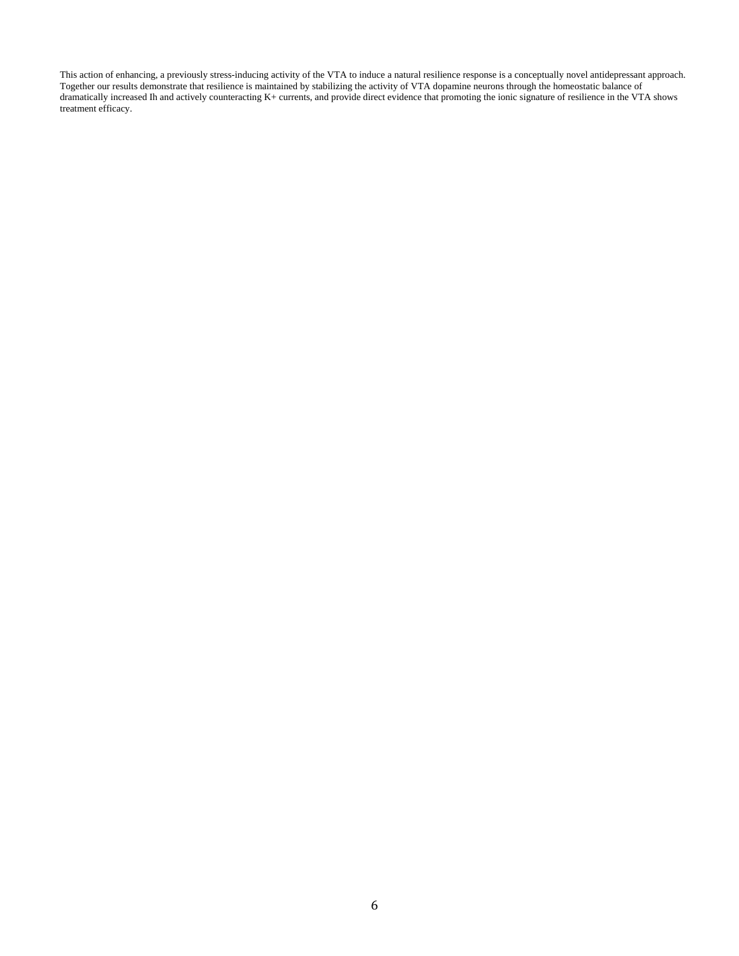This action of enhancing, a previously stress-inducing activity of the VTA to induce a natural resilience response is a conceptually novel antidepressant approach. Together our results demonstrate that resilience is maintained by stabilizing the activity of VTA dopamine neurons through the homeostatic balance of dramatically increased Ih and actively counteracting K+ currents, and provide direct evidence that promoting the ionic signature of resilience in the VTA shows treatment efficacy.